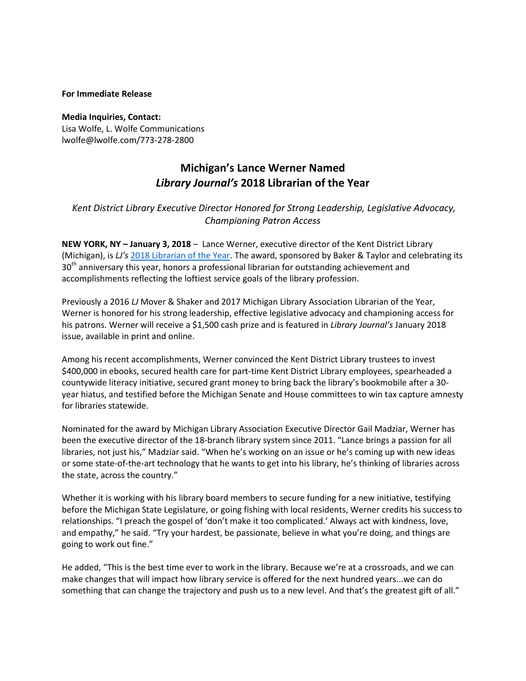#### **For Immediate Release**

**Media Inquiries, Contact:**  Lisa Wolfe, L. Wolfe Communications lwolfe@lwolfe.com/773-278-2800

# **Michigan's Lance Werner Named**  *Library Journal's* **2018 Librarian of the Year**

## *Kent District Library Executive Director Honored for Strong Leadership, Legislative Advocacy, Championing Patron Access*

**NEW YORK, NY – January 3, 2018** – Lance Werner, executive director of the Kent District Library (Michigan), is *LJ's* [2018 Librarian of the Year.](http://lj.libraryjournal.com/2018/01/awards/lance-werner-ljs-2018-librarian-year) The award, sponsored by Baker & Taylor and celebrating its 30<sup>th</sup> anniversary this year, honors a professional librarian for outstanding achievement and accomplishments reflecting the loftiest service goals of the library profession.

Previously a 2016 *LJ* Mover & Shaker and 2017 Michigan Library Association Librarian of the Year, Werner is honored for his strong leadership, effective legislative advocacy and championing access for his patrons. Werner will receive a \$1,500 cash prize and is featured in *Library Journal's* January 2018 issue, available in print and online.

Among his recent accomplishments, Werner convinced the Kent District Library trustees to invest \$400,000 in ebooks, secured health care for part-time Kent District Library employees, spearheaded a countywide literacy initiative, secured grant money to bring back the library's bookmobile after a 30 year hiatus, and testified before the Michigan Senate and House committees to win tax capture amnesty for libraries statewide.

Nominated for the award by Michigan Library Association Executive Director Gail Madziar, Werner has been the executive director of the 18-branch library system since 2011. "Lance brings a passion for all libraries, not just his," Madziar said. "When he's working on an issue or he's coming up with new ideas or some state-of-the-art technology that he wants to get into his library, he's thinking of libraries across the state, across the country."

Whether it is working with his library board members to secure funding for a new initiative, testifying before the Michigan State Legislature, or going fishing with local residents, Werner credits his success to relationships. "I preach the gospel of 'don't make it too complicated.' Always act with kindness, love, and empathy," he said. "Try your hardest, be passionate, believe in what you're doing, and things are going to work out fine."

He added, "This is the best time ever to work in the library. Because we're at a crossroads, and we can make changes that will impact how library service is offered for the next hundred years...we can do something that can change the trajectory and push us to a new level. And that's the greatest gift of all."